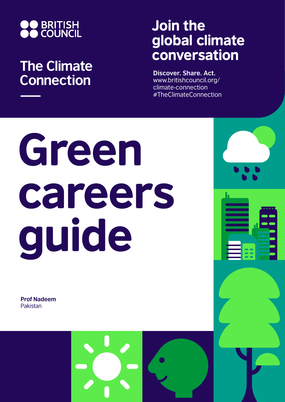

# **The Climate Connection**

# Join the global climate conversation

**Discover. Share. Act.** www.britishcouncil.org/ climate-connection #TheClimateConnection

# Green careers guide

**Prof Nadeem** Pakistan

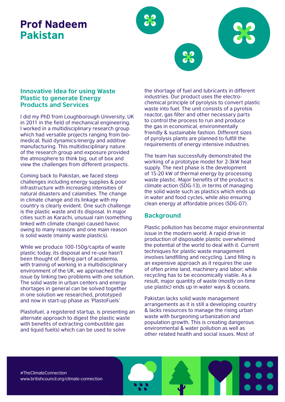## Prof Nadeem Pakistan



#### **Innovative Idea for using Waste Plastic to generate Energy Products and Services**

I did my PhD from Loughborough University, UK in 2011 in the field of mechanical engineering. I worked in a multidisciplinary research group which had versatile projects ranging from biomedical, fluid dynamics/energy and additive manufacturing. This multidisciplinary nature of the research group and exposure provided the atmosphere to think big, out of box and view the challenges from different prospects.

Coming back to Pakistan, we faced steep challenges including energy supplies & poor infrastructure with increasing intensities of natural disasters and calamities. The change in climate change and its linkage with my country is clearly evident. One such challenge is the plastic waste and its disposal. In major cities such as Karachi, unusual rain (something linked with climate change) caused havoc owing to many reasons and one main reason is solid waste (mainly waste plastics).

While we produce 100-150g/capita of waste plastic today, its disposal and re-use hasn't been thought of. Being part of academia, with training of working in a multidisciplinary environment of the UK, we approached the issue by linking two problems with one solution. The solid waste in urban centers and energy shortages in general can be solved together in one solution we researched, prototyped and now in start-up phase as 'PlastoFuels'

Plastofuel, a registered startup, is presenting an alternate approach to digest the plastic waste with benefits of extracting combustible gas and liquid fuel(s) which can be used to solve

the shortage of fuel and lubricants in different industries. Our product uses the electrochemical principle of pyrolysis to convert plastic waste into fuel. The unit consists of a pyrolsis reactor, gas filter and other necessary parts to control the process to run and produce the gas in economical, environmentally friendly & sustainable fashion. Different sizes of pyrolysis plants are planned to fulfill the requirements of energy intensive industries.

The team has successfully demonstrated the working of a prototype model for 2-3kW heat supply. The next phase is the development of 15-20 kW of thermal energy by processing waste plastic. Major benefits of the product is climate action (SDG-13), in terms of managing the solid waste such as plastics which ends up in water and food cycles, while also ensuring clean energy at affordable prices (SDG-07).

### **Background**

Plastic pollution has become major environmental issue in the modern world. A rapid drive in production of disposable plastic overwhelmed the potential of the world to deal with it. Current techniques for plastic waste management involves landfilling and recycling. Land filling is an expensive approach as it requires the use of often prime land, machinery and labor; while recycling has to be economically viable. As a result, major quantity of waste (mostly on-time use plastic) ends up in water ways & oceans.

Pakistan lacks solid waste management arrangements as it is still a developing country & lacks resources to manage the rising urban waste with burgeoning urbanization and population growth. This is creating dangerous environmental & water pollution as well as other related health and social issues. Most of

#TheClimateConnection www.britishcouncil.org/climate-connection